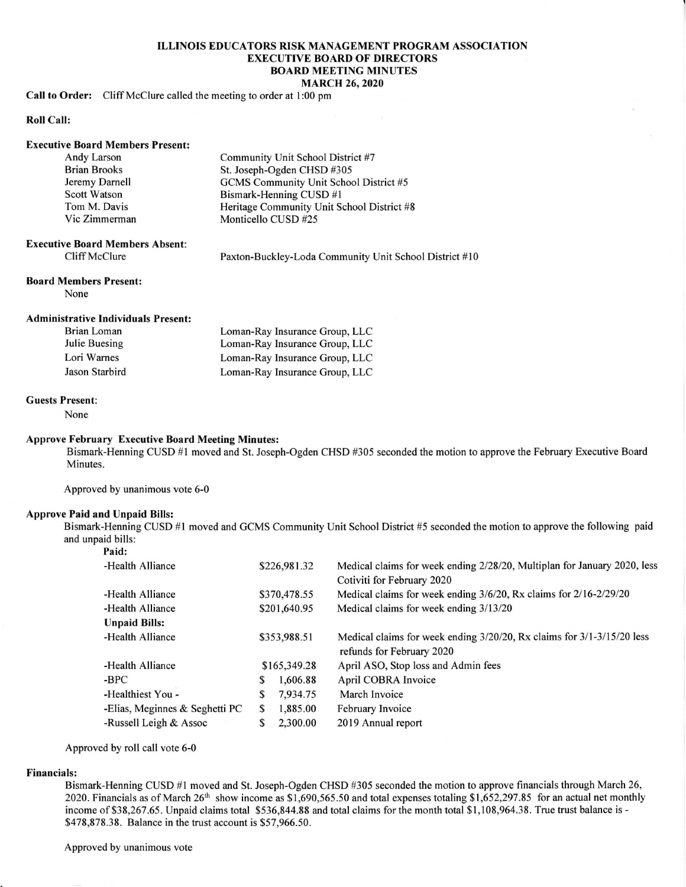## ILLINOIS EDUCATORS RISK MANAGEMENT PROGRAM ASSOCIATION EXECUTIVE BOARD OF DIRECTORS BOARD MEETING MINUTES MARCH 26,2020

## Call to Order: Cliff McClure called the meeting to order at 1:00 pm

## Roll Call

| <b>Executive Board Members Present:</b> |                                            |
|-----------------------------------------|--------------------------------------------|
| Andy Larson                             | Community Unit School District #7          |
| <b>Brian Brooks</b>                     | St. Joseph-Ogden CHSD #305                 |
| Jeremy Darnell                          | GCMS Community Unit School District #5     |
| <b>Scott Watson</b>                     | Bismark-Henning CUSD #1                    |
| Tom M. Davis                            | Heritage Community Unit School District #8 |
| Vic Zimmerman                           | Monticello CUSD #25                        |
|                                         |                                            |

## Executive Board Members Absent: Cliff McClure

Paxton-Buckley-Loda Community Unit School District #10

### Board Members Present:

None

## Administrative Individuals Present:

| Brian Loman    | Loman-Ray Insurance Group, LLC |
|----------------|--------------------------------|
| Julie Buesing  | Loman-Ray Insurance Group, LLC |
| Lori Warnes    | Loman-Ray Insurance Group, LLC |
| Jason Starbird | Loman-Ray Insurance Group, LLC |

## Guests Present:

None

## Approve February Executive Board Meeting Minutes:

Bismark-Henning CUSD #l moved and St. Joseph-Ogden CHSD #305 seconded the motion to approve the February Executive Board Minutes.

Approved by unanimous vote 6-0

# Approve Paid and Unpaid Bills:

Bismark-Henning CUSD #l moved and GCMS Community Unit School District #5 seconded the motion to approve the following paid and unpaid bills:

| Paid:                          |              |              |                                                                          |
|--------------------------------|--------------|--------------|--------------------------------------------------------------------------|
| -Health Alliance               |              | \$226,981.32 | Medical claims for week ending 2/28/20, Multiplan for January 2020, less |
|                                |              |              | Cotiviti for February 2020                                               |
| -Health Alliance               | \$370,478.55 |              | Medical claims for week ending 3/6/20, Rx claims for 2/16-2/29/20        |
| -Health Alliance               | \$201,640.95 |              | Medical claims for week ending 3/13/20                                   |
| <b>Unpaid Bills:</b>           |              |              |                                                                          |
| -Health Alliance               | \$353,988.51 |              | Medical claims for week ending 3/20/20, Rx claims for 3/1-3/15/20 less   |
|                                |              |              | refunds for February 2020                                                |
| -Health Alliance               | \$165,349.28 |              | April ASO, Stop loss and Admin fees                                      |
| -BPC                           | S            | 1,606.88     | April COBRA Invoice                                                      |
| -Healthiest You -              | S            | 7.934.75     | March Invoice                                                            |
| -Elias, Meginnes & Seghetti PC | S            | 1,885.00     | February Invoice                                                         |
| -Russell Leigh & Assoc         |              | 2,300.00     | 2019 Annual report                                                       |
|                                |              |              |                                                                          |

Approved by roll call vote 6-0

## Financials:

Bismark-Henning CUSD #1 moved and St. Joseph-Ogden CHSD #305 seconded the motion to approve financials through March 26, 2020. Financials as of March 26<sup>th</sup> show income as \$1,690,565.50 and total expenses totaling \$1,652,297.85 for an actual net monthly income of \$38,267.65. Unpaid claims total \$536,844.88 and total claims for the month total \$1,108,964.38. True trust balance is - \$478,878.38. Balance in the trust account is \$57,966.50.

Approved by unanimous vote